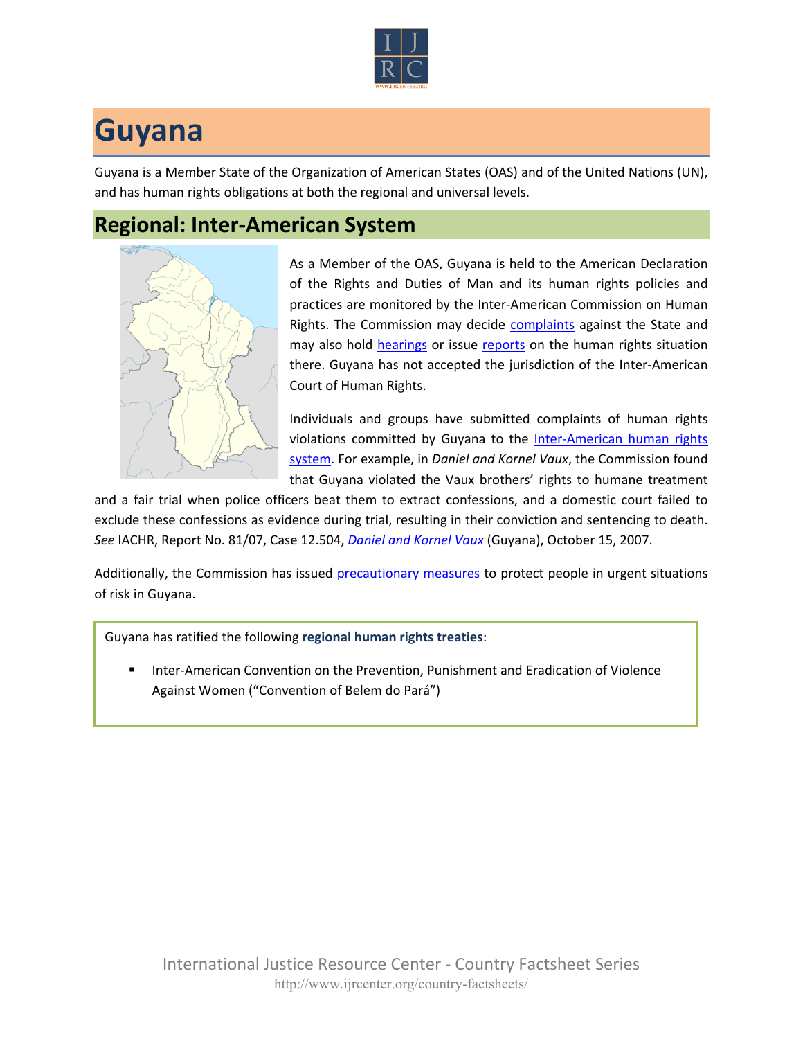

## **Guyana**

Guyana is a Member State of the Organization of American States (OAS) and of the United Nations (UN), and has human rights obligations at both the regional and universal levels.

## **Regional: Inter-American System**



As a Member of the OAS, Guyana is held to the American Declaration of the Rights and Duties of Man and its human rights policies and practices are monitored by the Inter-American Commission on Human Rights. The Commission may decide [complaints](http://www.oas.org/en/iachr/decisions/merits.asp) against the State and may also hold [hearings](http://www.oas.org/es/cidh/audiencias/advanced.aspx?lang=en) or issue [reports](http://www.oas.org/en/iachr/reports/country.asp) on the human rights situation there. Guyana has not accepted the jurisdiction of the Inter-American Court of Human Rights.

Individuals and groups have submitted complaints of human rights violations committed by Guyana to the Inter-American human rights [system](http://www.ijrcenter.org/regional/inter-american-system/). For example, in *Daniel and Kornel Vaux*, the Commission found that Guyana violated the Vaux brothers' rights to humane treatment

and a fair trial when police officers beat them to extract confessions, and a domestic court failed to exclude these confessions as evidence during trial, resulting in their conviction and sentencing to death. *See* IACHR, Report No. 81/07, Case 12.504, *[Daniel and Kornel Vaux](http://www.cidh.oas.org/annualrep/2007eng/Guyana12504eng.htm)* (Guyana), October 15, 2007.

Additionally, the Commission has issued [precautionary measures](http://www.oas.org/en/iachr/decisions/precautionary.asp) to protect people in urgent situations of risk in Guyana.

Guyana has ratified the following **regional human rights treaties**:

 Inter-American Convention on the Prevention, Punishment and Eradication of Violence Against Women ("Convention of Belem do Pará")